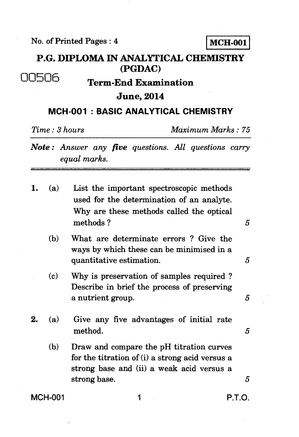No. of Printed Pages : 4 MCH-001

## **P.G. DIPLOMA IN ANALYTICAL CHEMISTRY (PGDAC)**

# 00506 **Term-End Examination**

#### **June, 2014**

### **MCH-001 : BASIC ANALYTICAL CHEMISTRY**

*Time : 3 hours Maximum Marks : 75* 

- *Note : Answer any five questions. All questions carry equal marks.*
- 1. (a) List the important spectroscopic methods used for the determination of an analyte. Why are these methods called the optical methods ?
	- (b) What are determinate errors ? Give the ways by which these can be minimised in a quantitative estimation. 5
	- (c) Why is preservation of samples required ? Describe in brief the process of preserving a nutrient group. 5
- 2. (a) Give any five advantages of initial rate method.  $5$ 
	- (b) Draw and compare the pH titration curves for the titration of (i) a strong acid versus a strong base and (ii) a weak acid versus a strong base. *5*

MCH-001 1 P.T.O.

 $\overline{5}$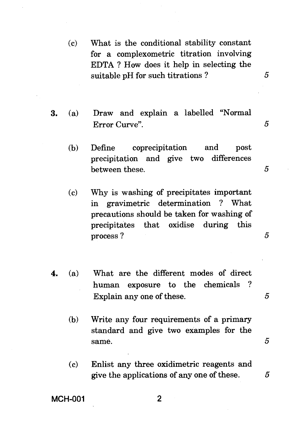- (c) What is the conditional stability constant for a complexometric titration involving EDTA ? How does it help in selecting the suitable pH for such titrations ? *5*
- **3.** (a) Draw and explain a labelled "Normal Error Curve". *5* 
	- (b) Define coprecipitation and post precipitation and give two differences between these.  $5$
	- (c) Why is washing of precipitates important in gravimetric determination ? What precautions should be taken for washing of precipitates that oxidise during this process ? 5
- **4.** (a) What are the different modes of direct human exposure to the chemicals ? Explain any one of these.  $5$ 
	- (b) Write any four requirements of a primary standard and give two examples for the same.  $5$
	- (c) Enlist any three oxidimetric reagents and give the applications of any one of these. *5*

#### **MCH-001 2**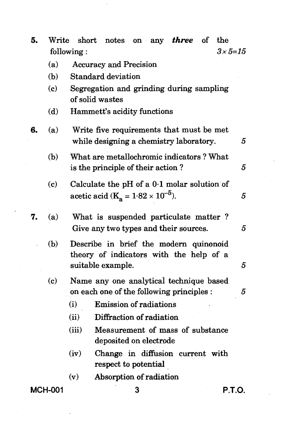| 5. | Write                           | short                                                                                                  |  | notes on any <i>three</i>                                  |  | $\circ$ of | the    |
|----|---------------------------------|--------------------------------------------------------------------------------------------------------|--|------------------------------------------------------------|--|------------|--------|
|    | $3 \times 5 = 15$<br>following: |                                                                                                        |  |                                                            |  |            |        |
|    | (a)                             | <b>Accuracy and Precision</b>                                                                          |  |                                                            |  |            |        |
|    | (b)                             | <b>Standard deviation</b>                                                                              |  |                                                            |  |            |        |
|    | (c)                             | Segregation and grinding during sampling<br>of solid wastes                                            |  |                                                            |  |            |        |
|    | (d)                             | Hammett's acidity functions                                                                            |  |                                                            |  |            |        |
| 6. | (a)                             | Write five requirements that must be met<br>while designing a chemistry laboratory.                    |  |                                                            |  |            | 5      |
|    | (b)                             | What are metallochromic indicators? What<br>is the principle of their action?                          |  |                                                            |  |            | 5      |
|    | (c)                             | Calculate the pH of a $0.1$ molar solution of<br>acetic acid ( $K_a = 1.82 \times 10^{-5}$ ).          |  |                                                            |  |            | 5      |
| 7. | (a)                             | What is suspended particulate matter?<br>Give any two types and their sources.                         |  |                                                            |  |            | 5      |
|    | (b)                             | Describe in brief the modern quinonoid<br>theory of indicators with the help of a<br>suitable example. |  |                                                            |  |            |        |
|    |                                 |                                                                                                        |  |                                                            |  |            | 5      |
|    | (c)                             | Name any one analytical technique based<br>on each one of the following principles :                   |  |                                                            |  |            | 5      |
|    |                                 | (i)                                                                                                    |  | <b>Emission of radiations</b>                              |  |            |        |
|    |                                 | (ii)                                                                                                   |  | Diffraction of radiation                                   |  |            |        |
|    |                                 | (iii)                                                                                                  |  | Measurement of mass of substance<br>deposited on electrode |  |            |        |
|    |                                 | (iv)                                                                                                   |  | Change in diffusion current with<br>respect to potential   |  |            |        |
|    |                                 | (v)                                                                                                    |  | Absorption of radiation                                    |  |            |        |
|    | <b>MCH-001</b>                  |                                                                                                        |  | 3                                                          |  |            | P.T.O. |